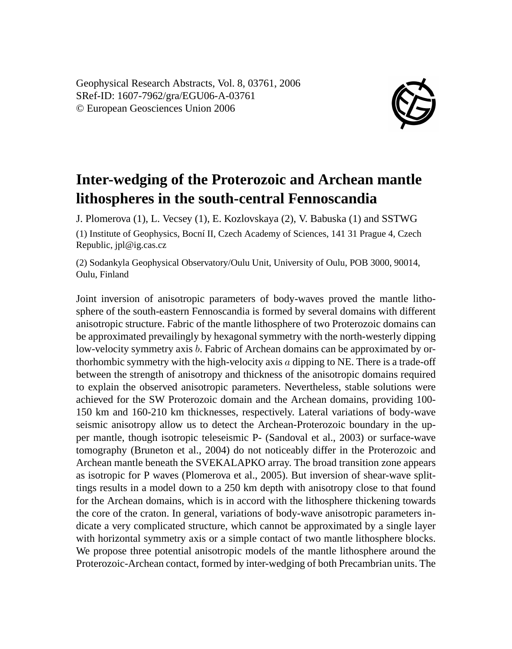Geophysical Research Abstracts, Vol. 8, 03761, 2006 SRef-ID: 1607-7962/gra/EGU06-A-03761 © European Geosciences Union 2006



## **Inter-wedging of the Proterozoic and Archean mantle lithospheres in the south-central Fennoscandia**

J. Plomerova (1), L. Vecsey (1), E. Kozlovskaya (2), V. Babuska (1) and SSTWG (1) Institute of Geophysics, Bocní II, Czech Academy of Sciences, 141 31 Prague 4, Czech Republic, jpl@ig.cas.cz

(2) Sodankyla Geophysical Observatory/Oulu Unit, University of Oulu, POB 3000, 90014, Oulu, Finland

Joint inversion of anisotropic parameters of body-waves proved the mantle lithosphere of the south-eastern Fennoscandia is formed by several domains with different anisotropic structure. Fabric of the mantle lithosphere of two Proterozoic domains can be approximated prevailingly by hexagonal symmetry with the north-westerly dipping low-velocity symmetry axis b. Fabric of Archean domains can be approximated by orthorhombic symmetry with the high-velocity axis  $a$  dipping to NE. There is a trade-off between the strength of anisotropy and thickness of the anisotropic domains required to explain the observed anisotropic parameters. Nevertheless, stable solutions were achieved for the SW Proterozoic domain and the Archean domains, providing 100- 150 km and 160-210 km thicknesses, respectively. Lateral variations of body-wave seismic anisotropy allow us to detect the Archean-Proterozoic boundary in the upper mantle, though isotropic teleseismic P- (Sandoval et al., 2003) or surface-wave tomography (Bruneton et al., 2004) do not noticeably differ in the Proterozoic and Archean mantle beneath the SVEKALAPKO array. The broad transition zone appears as isotropic for P waves (Plomerova et al., 2005). But inversion of shear-wave splittings results in a model down to a 250 km depth with anisotropy close to that found for the Archean domains, which is in accord with the lithosphere thickening towards the core of the craton. In general, variations of body-wave anisotropic parameters indicate a very complicated structure, which cannot be approximated by a single layer with horizontal symmetry axis or a simple contact of two mantle lithosphere blocks. We propose three potential anisotropic models of the mantle lithosphere around the Proterozoic-Archean contact, formed by inter-wedging of both Precambrian units. The